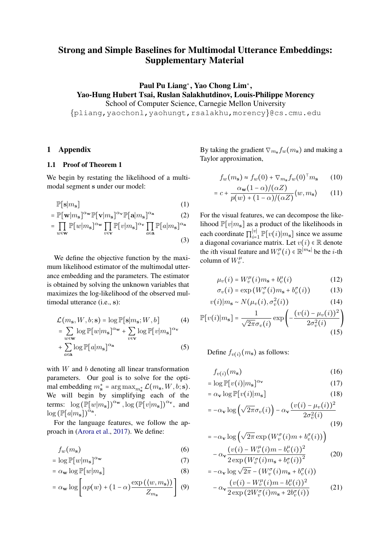# <span id="page-0-1"></span>Strong and Simple Baselines for Multimodal Utterance Embeddings: Supplementary Material

Paul Pu Liang<sup>\*</sup>, Yao Chong Lim<sup>\*</sup>, Yao-Hung Hubert Tsai, Ruslan Salakhutdinov, Louis-Philippe Morency

School of Computer Science, Carnegie Mellon University

{pliang,yaochonl,yaohungt,rsalakhu,morency}@cs.cmu.edu

### 1 Appendix

### 1.1 Proof of Theorem 1

We begin by restating the likelihood of a multimodal segment s under our model:

$$
\mathbb{P}[\mathbf{s}|m_{\mathbf{s}}] \tag{1}
$$

$$
= \mathbb{P}[\mathbf{w}|m_{\mathbf{s}}]^{\alpha_{\mathbf{w}}} \mathbb{P}[\mathbf{v}|m_{\mathbf{s}}]^{\alpha_{\mathbf{v}}} \mathbb{P}[\mathbf{a}|m_{\mathbf{s}}]^{\alpha_{\mathbf{a}}} \qquad (2)
$$

$$
= \prod_{w \in \mathbf{w}} \mathbb{P}[w|m_{\mathbf{s}}]^{\alpha_{\mathbf{w}}} \prod_{v \in \mathbf{v}} \mathbb{P}[v|m_{\mathbf{s}}]^{\alpha_{\mathbf{v}}} \prod_{a \in \mathbf{a}} \mathbb{P}[a|m_{\mathbf{s}}]^{\alpha_{\mathbf{a}}} \qquad (3)
$$

We define the objective function by the maximum likelihood estimator of the multimodal utterance embedding and the parameters. The estimator is obtained by solving the unknown variables that maximizes the log-likelihood of the observed multimodal utterance (i.e., s):

$$
\mathcal{L}(m_{\mathbf{s}}, W, b; \mathbf{s}) = \log \mathbb{P}[\mathbf{s}|m_{\mathbf{s}}; W, b]
$$
(4)  
= 
$$
\sum_{w \in \mathbf{w}} \log \mathbb{P}[w|m_{\mathbf{s}}]^{\alpha_{\mathbf{w}}} + \sum_{v \in \mathbf{v}} \log \mathbb{P}[v|m_{\mathbf{s}}]^{\alpha_{\mathbf{v}}}
$$
  
+ 
$$
\sum_{a \in \mathbf{a}} \log \mathbb{P}[a|m_{\mathbf{s}}]^{\alpha_{\mathbf{a}}}
$$
(5)

with  $W$  and  $b$  denoting all linear transformation parameters. Our goal is to solve for the optimal embedding  $m_s^* = \arg \max_{m_s^*} \mathcal{L}(m_s, W, b; \mathbf{s}).$ We will begin by simplifying each of the terms:  $\log \left(\mathbb{P}[w|m_{\mathbf{s}}]\right)^{\alpha_{\mathbf{w}}}, \log \left(\mathbb{P}[v|m_{\mathbf{s}}]\right)^{\alpha_{\mathbf{v}}},$  and  $\log (\mathbb{P}[a|m_{\mathbf{s}}])^{\alpha_{\mathbf{a}}}.$ 

For the language features, we follow the approach in [\(Arora et al.,](#page-3-0) [2017\)](#page-3-0). We define:

$$
f_w(m_{\mathbf{s}}) \tag{6}
$$

$$
= \log \mathbb{P}[w|m_{\mathbf{s}}]^{\alpha_{\mathbf{w}}} \tag{7}
$$

$$
= \alpha_{\mathbf{w}} \log \mathbb{P}[w|m_{\mathbf{s}}]
$$
 (8)

$$
= \alpha_{\mathbf{w}} \log \left[ \alpha p(w) + (1 - \alpha) \frac{\exp (\langle w, m_{\mathbf{s}} \rangle)}{Z_{m_{\mathbf{s}}}} \right] \tag{9}
$$

By taking the gradient  $\nabla_{m_s} f_w(m_s)$  and making a Taylor approximation,

$$
f_w(m_{\mathbf{s}}) \approx f_w(0) + \nabla_{m_{\mathbf{s}}} f_w(0)^\top m_{\mathbf{s}} \qquad (10)
$$

$$
= c + \frac{\alpha_{\mathbf{w}}(1-\alpha)/(\alpha Z)}{p(w) + (1-\alpha)/(\alpha Z)} \langle w, m_{\mathbf{s}} \rangle \qquad (11)
$$

For the visual features, we can decompose the likelihood  $\mathbb{P}[v|m_{s}]$  as a product of the likelihoods in each coordinate  $\prod_{i=1}^{|v|}$  $\prod_{i=1}^{|v|} \mathbb{P}[v(i)|m_{s}]$  since we assume a diagonal covariance matrix. Let  $v(i) \in \mathbb{R}$  denote the *i*th visual feature and  $W_v^{\mu}(i) \in \mathbb{R}^{|m_{\mathbf{s}}|}$  be the *i*-th column of  $W_v^{\mu}$ .

$$
\mu_v(i) = W_v^{\mu}(i)m_s + b_v^{\mu}(i)
$$
 (12)

$$
\sigma_v(i) = \exp\left(W_v^{\sigma}(i)m_s + b_v^{\sigma}(i)\right) \tag{13}
$$

$$
v(i)|m_{\mathbf{s}} \sim N(\mu_v(i), \sigma_v^2(i))
$$
\n(14)

<span id="page-0-0"></span>
$$
\mathbb{P}[v(i)|m_{s}] = \frac{1}{\sqrt{2\pi}\sigma_{v}(i)} \exp\left(-\frac{(v(i) - \mu_{v}(i))^{2}}{2\sigma_{v}^{2}(i)}\right)
$$
\n(15)

Define  $f_{v(i)}(m_{s})$  as follows:

$$
f_{v(i)}(m_{\mathbf{s}}) \tag{16}
$$

$$
= \log \mathbb{P}[v(i)|m_{\mathbf{s}}]^{\alpha_{\mathbf{v}}} \tag{17}
$$

$$
= \alpha_{\mathbf{v}} \log \mathbb{P}[v(i)|m_{\mathbf{s}}]
$$
\n(18)

$$
= -\alpha_{\mathbf{v}} \log \left( \sqrt{2\pi} \sigma_v(i) \right) - \alpha_{\mathbf{v}} \frac{(v(i) - \mu_v(i))^2}{2\sigma_v^2(i)}
$$
(19)

$$
= -\alpha_{\mathbf{v}} \log \left( \sqrt{2\pi} \exp \left( W_{v}^{\sigma} (i) m + b_{v}^{\sigma} (i) \right) \right) - \alpha_{\mathbf{v}} \frac{\left( v(i) - W_{v}^{\mu} (i) m - b_{v}^{\mu} (i) \right)^{2}}{\left( \sum_{i=1}^{N} (i) m - b_{v}^{\mu} (i) \right)^{2}} \tag{20}
$$

$$
- \alpha \mathbf{v} \cdot 2 \exp \left( W_v^{\sigma}(i) m_{\mathbf{s}} + b_v^{\sigma}(i) \right)^2
$$
  
=  $-\alpha \mathbf{v} \log \sqrt{2\pi} - \left( W_v^{\sigma}(i) m_{\mathbf{s}} + b_v^{\sigma}(i) \right)$   
 $-\alpha \mathbf{v} \frac{\left( v(i) - W_v^{\mu}(i) m - b_v^{\mu}(i) \right)^2}{2 \exp \left( 2W_v^{\sigma}(i) m_{\mathbf{s}} + 2b_v^{\sigma}(i) \right)}$  (21)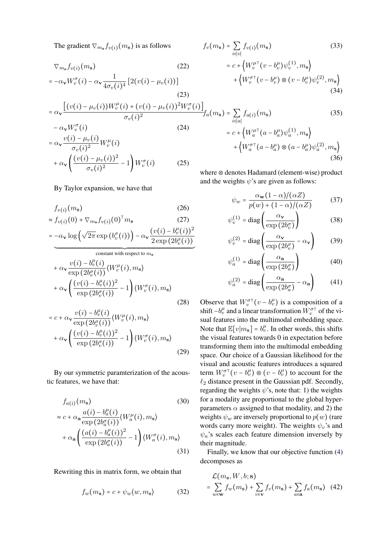The gradient  $\nabla_{m_{\mathbf{s}}} f_{v(i)}(m_{\mathbf{s}})$  is as follows

$$
\nabla_{m_{\mathbf{s}}} f_{v(i)}(m_{\mathbf{s}})
$$
\n
$$
= -\alpha_{\mathbf{v}} W_{v}^{\sigma}(i) - \alpha_{\mathbf{v}} \frac{1}{4\sigma_{v}(i)^{4}} \left[ 2(v(i) - \mu_{v}(i)) \right]
$$
\n(22)

(23)  
\n
$$
= \alpha_{\mathbf{v}} \frac{\left[ (v(i) - \mu_v(i)) W_v^{\mu}(i) + (v(i) - \mu_v(i))^2 W_v^{\sigma}(i) \right.}{\sigma_v(i)^2}
$$
\n
$$
- \alpha_{\mathbf{v}} W_v^{\sigma}(i)
$$
\n(24)

$$
= \alpha_{\mathbf{v}} \frac{v(i) - \mu_v(i)}{\sigma_v(i)^2} W_v^{\mu}(i)
$$
  
+ 
$$
\alpha_{\mathbf{v}} \left( \frac{(v(i) - \mu_v(i))^2}{\sigma_v(i)^2} - 1 \right) W_v^{\sigma}(i)
$$
 (25)

### By Taylor expansion, we have that

$$
f_{v(i)}(m_{\mathbf{s}}) \tag{26}
$$

$$
\approx f_{v(i)}(0) + \nabla_{m_{\mathbf{s}}} f_{v(i)}(0)^{\top} m_{\mathbf{s}} \tag{27}
$$

$$
= -\alpha_{\mathbf{v}} \log \left(\sqrt{2\pi} \exp\left(b_v^{\sigma}(i)\right)\right) - \alpha_{\mathbf{v}} \frac{\left(v(i) - b_v^{\mu}(i)\right)^2}{2 \exp\left(2b_v^{\sigma}(i)\right)}
$$

constant with respect to 
$$
m_s
$$
  
\n
$$
+ \alpha_v \frac{v(i) - b_v^{\mu}(i)}{\exp(2b_v^{\sigma}(i))} \langle W_v^{\mu}(i), m_s \rangle
$$
\n
$$
+ \alpha_v \left( \frac{(v(i) - b_v^{\mu}(i))^2}{\exp(2b_v^{\sigma}(i))} - 1 \right) \langle W_v^{\sigma}(i), m_s \rangle
$$
\n(28)

$$
= c + \alpha_{\mathbf{v}} \frac{v(i) - b_v^{\mu}(i)}{\exp(2b_v^{\sigma}(i))} \langle W_v^{\mu}(i), m_{\mathbf{s}} \rangle
$$
  
+ 
$$
\alpha_{\mathbf{v}} \left( \frac{(v(i) - b_v^{\mu}(i))^2}{\exp(2b_v^{\sigma}(i))} - 1 \right) \langle W_v^{\sigma}(i), m_{\mathbf{s}} \rangle
$$
(29)

By our symmetric paramterization of the acoustic features, we have that:

$$
f_{a(i)}(m_{s})
$$
\n
$$
\approx c + \alpha_{a} \frac{a(i) - b_{a}^{\mu}(i)}{\exp(2b_{a}^{\sigma}(i))} \langle W_{a}^{\mu}(i), m_{s} \rangle
$$
\n
$$
+ \alpha_{a} \left( \frac{(a(i) - b_{a}^{\mu}(i))^{2}}{\exp(2b_{a}^{\sigma}(i))} - 1 \right) \langle W_{a}^{\sigma}(i), m_{s} \rangle
$$
\n(31)

Rewriting this in matrix form, we obtain that

$$
f_w(m_{\mathbf{s}}) = c + \psi_w \langle w, m_{\mathbf{s}} \rangle \tag{32}
$$

$$
f_v(m_s) = \sum_{i \in |v|} f_{v(i)}(m_s)
$$
\n
$$
= c + \left\langle W_v^{\mu \tau} (v - b_v^{\mu}) \psi_v^{(1)}, m_s \right\rangle
$$
\n
$$
+ \left\langle W_v^{\sigma \tau} (v - b_v^{\mu}) \otimes (v - b_v^{\mu}) \psi_v^{(2)}, m_s \right\rangle
$$
\n(34)

$$
\mu_v(i))^2 W_v^{\sigma}(i) \Big]_{f_a(m_{\mathbf{s}})} = \sum_{i \in [a]} f_{a(i)}(m_{\mathbf{s}}) \tag{35}
$$
  

$$
= c + \left\langle W_a^{\mu \tau}(a - b_a^{\mu}) \psi_a^{(1)}, m_{\mathbf{s}} \right\rangle + \left\langle W_a^{\sigma \tau}(a - b_a^{\mu}) \otimes (a - b_a^{\mu}) \psi_a^{(2)}, m_{\mathbf{s}} \right\rangle
$$
  

$$
\tag{36}
$$

where ⊗ denotes Hadamard (element-wise) product and the weights  $\psi$ 's are given as follows:

$$
\psi_w = \frac{\alpha_{\mathbf{w}}(1-\alpha)/(\alpha Z)}{p(w) + (1-\alpha)/(\alpha Z)} \tag{37}
$$

$$
\psi_v^{(1)} = \text{diag}\left(\frac{\alpha_v}{\exp(2b_v^{\sigma})}\right) \tag{38}
$$

$$
\psi_v^{(2)} = \text{diag}\left(\frac{\alpha_v}{\exp(2b_v^{\sigma})} - \alpha_v\right) \tag{39}
$$

$$
\psi_a^{(1)} = \text{diag}\left(\frac{\alpha_a}{\exp(2b_a^{\sigma})}\right) \tag{40}
$$

$$
\psi_a^{(2)} = \text{diag}\left(\frac{\alpha_\mathbf{a}}{\exp\left(2b_a^{\sigma}\right)} - \alpha_\mathbf{a}\right) \tag{41}
$$

Observe that  $W_v^{\sigma \tau}(v - b_v^{\mu})$  is a composition of a shift  $-b_v^{\mu}$  and a linear transformation  $\tilde{W}_v^{\sigma \tau}$  of the visual features into the multimodal embedding space. Note that  $\mathbb{E}[v|m_{s}] = b_v^{\mu}$ . In other words, this shifts the visual features towards 0 in expectation before transforming them into the multimodal embedding space. Our choice of a Gaussian likelihood for the visual and acoustic features introduces a squared term  $W_v^{\sigma \tau}(v - b_v^{\mu}) \otimes (v - b_v^{\mu})$  to account for the  $\ell_2$  distance present in the Gaussian pdf. Secondly, regarding the weights  $\psi$ 's, note that: 1) the weights for a modality are proportional to the global hyperparameters  $\alpha$  assigned to that modality, and 2) the weights  $\psi_w$  are inversely proportional to  $p(w)$  (rare words carry more weight). The weights  $\psi_v$ 's and  $\psi_a$ 's scales each feature dimension inversely by their magnitude.

Finally, we know that our objective function [\(4\)](#page-0-0) decomposes as

$$
\mathcal{L}(m_{\mathbf{s}}, W, b; \mathbf{s}) = \sum_{w \in \mathbf{w}} f_w(m_{\mathbf{s}}) + \sum_{v \in \mathbf{v}} f_v(m_{\mathbf{s}}) + \sum_{a \in \mathbf{a}} f_a(m_{\mathbf{s}}) \quad (42)
$$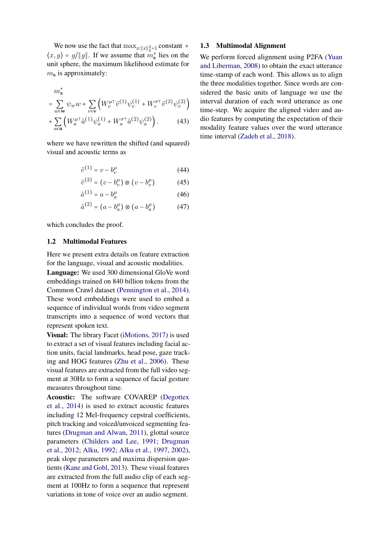We now use the fact that  $\max_{x:\|x\|_2^2=1}$  constant +  $\langle x, g \rangle = g/||g||$ . If we assume that  $m_s^*$  lies on the unit sphere, the maximum likelihood estimate for  $m<sub>s</sub>$  is approximately:

$$
m_s^*
$$
  
=  $\sum_{w \in \mathbf{w}} \psi_w w + \sum_{v \in \mathbf{v}} \left( W_v^{\mu \top} \tilde{v}^{(1)} \psi_v^{(1)} + W_v^{\sigma \top} \tilde{v}^{(2)} \psi_v^{(2)} \right) + \sum_{a \in \mathbf{a}} \left( W_a^{\mu \top} \tilde{a}^{(1)} \psi_a^{(1)} + W_a^{\sigma \top} \tilde{a}^{(2)} \psi_a^{(2)} \right).$  (43)

where we have rewritten the shifted (and squared) visual and acoustic terms as

$$
\tilde{v}^{(1)} = v - b_v^{\mu} \tag{44}
$$

$$
\tilde{v}^{(2)} = (v - b_v^{\mu}) \otimes (v - b_v^{\mu}) \tag{45}
$$

$$
\tilde{a}^{(1)} = a - b_a^{\mu} \tag{46}
$$

$$
\tilde{a}^{(2)} = (a - b_a^{\mu}) \otimes (a - b_a^{\mu}) \tag{47}
$$

which concludes the proof.

## 1.2 Multimodal Features

Here we present extra details on feature extraction for the language, visual and acoustic modalities.

Language: We used 300 dimensional GloVe word embeddings trained on 840 billion tokens from the Common Crawl dataset [\(Pennington et al.,](#page-3-1) [2014\)](#page-3-1). These word embeddings were used to embed a sequence of individual words from video segment transcripts into a sequence of word vectors that represent spoken text.

Visual: The library Facet [\(iMotions,](#page-3-2) [2017\)](#page-3-2) is used to extract a set of visual features including facial action units, facial landmarks, head pose, gaze tracking and HOG features [\(Zhu et al.,](#page-3-3) [2006\)](#page-3-3). These visual features are extracted from the full video segment at 30Hz to form a sequence of facial gesture measures throughout time.

Acoustic: The software COVAREP [\(Degottex](#page-3-4) [et al.,](#page-3-4) [2014\)](#page-3-4) is used to extract acoustic features including 12 Mel-frequency cepstral coefficients, pitch tracking and voiced/unvoiced segmenting features [\(Drugman and Alwan,](#page-3-5) [2011\)](#page-3-5), glottal source parameters [\(Childers and Lee,](#page-3-6) [1991;](#page-3-6) [Drugman](#page-3-7) [et al.,](#page-3-7) [2012;](#page-3-7) [Alku,](#page-3-8) [1992;](#page-3-8) [Alku et al.,](#page-3-9) [1997,](#page-3-9) [2002\)](#page-3-10), peak slope parameters and maxima dispersion quotients [\(Kane and Gobl,](#page-3-11) [2013\)](#page-3-11). These visual features are extracted from the full audio clip of each segment at 100Hz to form a sequence that represent variations in tone of voice over an audio segment.

#### 1.3 Multimodal Alignment

We perform forced alignment using P2FA [\(Yuan](#page-3-12) [and Liberman,](#page-3-12) [2008\)](#page-3-12) to obtain the exact utterance time-stamp of each word. This allows us to align the three modalities together. Since words are considered the basic units of language we use the interval duration of each word utterance as one time-step. We acquire the aligned video and audio features by computing the expectation of their modality feature values over the word utterance time interval [\(Zadeh et al.,](#page-3-13) [2018\)](#page-3-13).